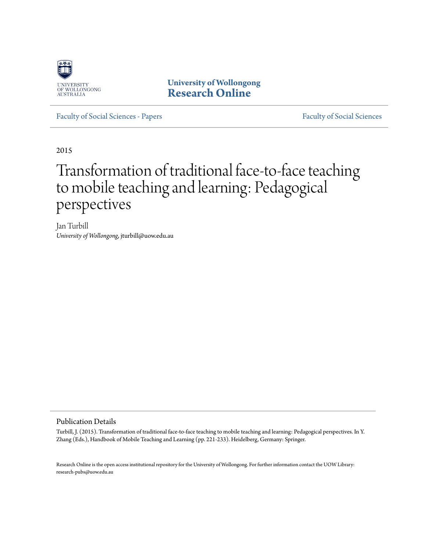

**University of Wollongong [Research Online](http://ro.uow.edu.au)**

[Faculty of Social Sciences - Papers](http://ro.uow.edu.au/sspapers) [Faculty of Social Sciences](http://ro.uow.edu.au/ss)

2015

#### Transformation of traditional face-to-face teaching to mobile teaching and learning: Pedagogical perspectives

Jan Turbill *University of Wollongong*, jturbill@uow.edu.au

#### Publication Details

Turbill, J. (2015). Transformation of traditional face-to-face teaching to mobile teaching and learning: Pedagogical perspectives. In Y. Zhang (Eds.), Handbook of Mobile Teaching and Learning (pp. 221-233). Heidelberg, Germany: Springer.

Research Online is the open access institutional repository for the University of Wollongong. For further information contact the UOW Library: research-pubs@uow.edu.au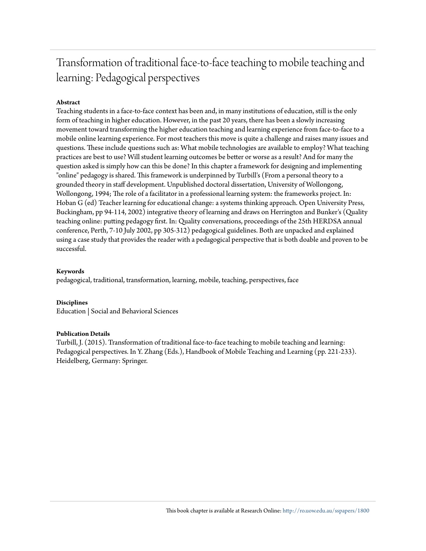#### Transformation of traditional face-to-face teaching to mobile teaching and learning: Pedagogical perspectives

#### **Abstract**

Teaching students in a face-to-face context has been and, in many institutions of education, still is the only form of teaching in higher education. However, in the past 20 years, there has been a slowly increasing movement toward transforming the higher education teaching and learning experience from face-to-face to a mobile online learning experience. For most teachers this move is quite a challenge and raises many issues and questions. These include questions such as: What mobile technologies are available to employ? What teaching practices are best to use? Will student learning outcomes be better or worse as a result? And for many the question asked is simply how can this be done? In this chapter a framework for designing and implementing "online" pedagogy is shared. This framework is underpinned by Turbill's (From a personal theory to a grounded theory in staff development. Unpublished doctoral dissertation, University of Wollongong, Wollongong, 1994; The role of a facilitator in a professional learning system: the frameworks project. In: Hoban G (ed) Teacher learning for educational change: a systems thinking approach. Open University Press, Buckingham, pp 94-114, 2002) integrative theory of learning and draws on Herrington and Bunker's (Quality teaching online: putting pedagogy first. In: Quality conversations, proceedings of the 25th HERDSA annual conference, Perth, 7-10 July 2002, pp 305-312) pedagogical guidelines. Both are unpacked and explained using a case study that provides the reader with a pedagogical perspective that is both doable and proven to be successful.

#### **Keywords**

pedagogical, traditional, transformation, learning, mobile, teaching, perspectives, face

#### **Disciplines**

Education | Social and Behavioral Sciences

#### **Publication Details**

Turbill, J. (2015). Transformation of traditional face-to-face teaching to mobile teaching and learning: Pedagogical perspectives. In Y. Zhang (Eds.), Handbook of Mobile Teaching and Learning (pp. 221-233). Heidelberg, Germany: Springer.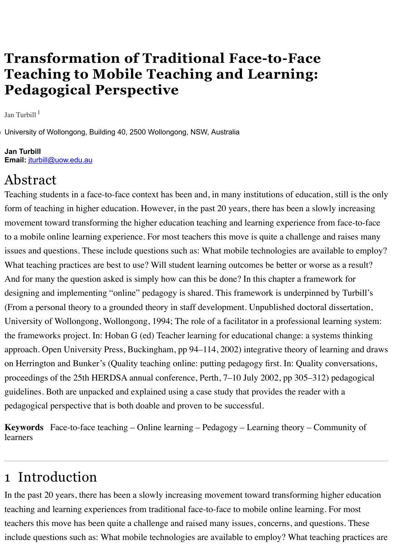# **Transformation of Traditional Face-to-Face Teaching to Mobile Teaching and Learning: Pedagogical Perspective**

JanTurbill  $<sup>1</sup>$ </sup>

(1)

University of Wollongong, Building 40, 2500 Wollongong, NSW, Australia

**Jan Turbill Email:** [jturbill@uow.edu.au](mailto:jturbill@uow.edu.au)

## Abstract

Teaching students in a face-to-face context has been and, in many institutions of education, still is the only form of teaching in higher education. However, in the past 20 years, there has been a slowly increasing movement toward transforming the higher education teaching and learning experience from face-to-face to a mobile online learning experience. For most teachers this move is quite a challenge and raises many issues and questions. These include questions such as: What mobile technologies are available to employ? What teaching practices are best to use? Will student learning outcomes be better or worse as a result? And for many the question asked is simply how can this be done? In this chapter a framework for designing and implementing "online" pedagogy is shared. This framework is underpinned by Turbill's (From a personal theory to a grounded theory in staff development. Unpublished doctoral dissertation, University of Wollongong, Wollongong, 1994; The role of a facilitator in a professional learning system: the frameworks project. In: Hoban G (ed) Teacher learning for educational change: a systems thinking approach. Open University Press, Buckingham, pp 94–114, 2002) integrative theory of learning and draws on Herrington and Bunker's (Quality teaching online: putting pedagogy first. In: Quality conversations, proceedings of the 25th HERDSA annual conference, Perth, 7–10 July 2002, pp 305–312) pedagogical guidelines. Both are unpacked and explained using a case study that provides the reader with a pedagogical perspective that is both doable and proven to be successful.

**Keywords** Face-to-face teaching – Online learning – Pedagogy – Learning theory – Community of learners

## 1 Introduction

In the past 20 years, there has been a slowly increasing movement toward transforming higher education teaching and learning experiences from traditional face-to-face to mobile online learning. For most teachers this move has been quite a challenge and raised many issues, concerns, and questions. These include questions such as: What mobile technologies are available to employ? What teaching practices are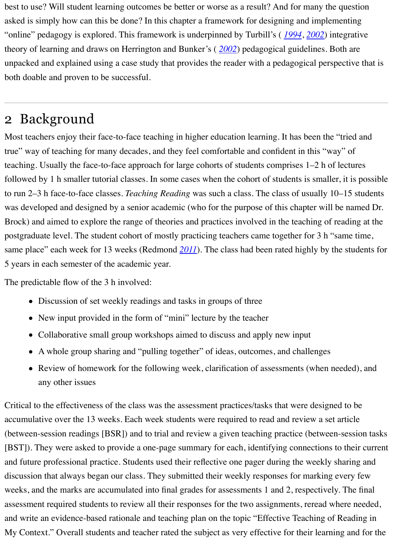best to use? Will student learning outcomes be better or worse as a result? And for many the question asked is simply how can this be done? In this chapter a framework for designing and implementing "online" pedagogy is explored. This framework is underpinned by Turbill's ( *[1994](file:///Users/jturbill/Downloads/ManuscriptFiles-2/manuscript.html#CR10)*, *[2002](file:///Users/jturbill/Downloads/ManuscriptFiles-2/manuscript.html#CR12)*) integrative theory of learning and draws on Herrington and Bunker's ( *[2002](file:///Users/jturbill/Downloads/ManuscriptFiles-2/manuscript.html#CR4)*) pedagogical guidelines. Both are unpacked and explained using a case study that provides the reader with a pedagogical perspective that is both doable and proven to be successful.

#### 2 Background

Most teachers enjoy their face-to-face teaching in higher education learning. It has been the "tried and true" way of teaching for many decades, and they feel comfortable and confident in this "way" of teaching. Usually the face-to-face approach for large cohorts of students comprises 1–2 h of lectures followed by 1 h smaller tutorial classes. In some cases when the cohort of students is smaller, it is possible to run 2–3 h face-to-face classes. *Teaching Reading* was such a class. The class of usually 10–15 students was developed and designed by a senior academic (who for the purpose of this chapter will be named Dr. Brock) and aimed to explore the range of theories and practices involved in the teaching of reading at the postgraduate level. The student cohort of mostly practicing teachers came together for 3 h "same time, same place" each week for 13 weeks (Redmond *[2011](file:///Users/jturbill/Downloads/ManuscriptFiles-2/manuscript.html#CR9)*). The class had been rated highly by the students for 5 years in each semester of the academic year.

The predictable flow of the 3 h involved:

- Discussion of set weekly readings and tasks in groups of three
- New input provided in the form of "mini" lecture by the teacher
- Collaborative small group workshops aimed to discuss and apply new input  $\bullet$
- A whole group sharing and "pulling together" of ideas, outcomes, and challenges  $\bullet$
- Review of homework for the following week, clarification of assessments (when needed), and  $\bullet$ any other issues

Critical to the effectiveness of the class was the assessment practices/tasks that were designed to be accumulative over the 13 weeks. Each week students were required to read and review a set article (between-session readings [BSR]) and to trial and review a given teaching practice (between-session tasks [BST]). They were asked to provide a one-page summary for each, identifying connections to their current and future professional practice. Students used their reflective one pager during the weekly sharing and discussion that always began our class. They submitted their weekly responses for marking every few weeks, and the marks are accumulated into final grades for assessments 1 and 2, respectively. The final assessment required students to review all their responses for the two assignments, reread where needed, and write an evidence-based rationale and teaching plan on the topic "Effective Teaching of Reading in My Context." Overall students and teacher rated the subject as very effective for their learning and for the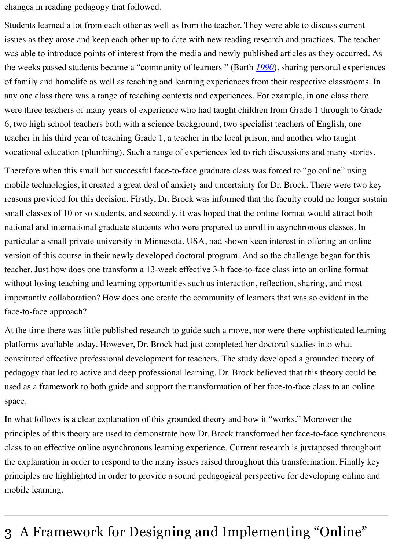changes in reading pedagogy that followed.

Students learned a lot from each other as well as from the teacher. They were able to discuss current issues as they arose and keep each other up to date with new reading research and practices. The teacher was able to introduce points of interest from the media and newly published articles as they occurred. As the weeks passed students became a "community of learners " (Barth *[1990](file:///Users/jturbill/Downloads/ManuscriptFiles-2/manuscript.html#CR2)*), sharing personal experiences of family and homelife as well as teaching and learning experiences from their respective classrooms. In any one class there was a range of teaching contexts and experiences. For example, in one class there were three teachers of many years of experience who had taught children from Grade 1 through to Grade 6, two high school teachers both with a science background, two specialist teachers of English, one teacher in his third year of teaching Grade 1, a teacher in the local prison, and another who taught vocational education (plumbing). Such a range of experiences led to rich discussions and many stories.

Therefore when this small but successful face-to-face graduate class was forced to "go online" using mobile technologies, it created a great deal of anxiety and uncertainty for Dr. Brock. There were two key reasons provided for this decision. Firstly, Dr. Brock was informed that the faculty could no longer sustain small classes of 10 or so students, and secondly, it was hoped that the online format would attract both national and international graduate students who were prepared to enroll in asynchronous classes. In particular a small private university in Minnesota, USA, had shown keen interest in offering an online version of this course in their newly developed doctoral program. And so the challenge began for this teacher. Just how does one transform a 13-week effective 3-h face-to-face class into an online format without losing teaching and learning opportunities such as interaction, reflection, sharing, and most importantly collaboration? How does one create the community of learners that was so evident in the face-to-face approach?

At the time there was little published research to guide such a move, nor were there sophisticated learning platforms available today. However, Dr. Brock had just completed her doctoral studies into what constituted effective professional development for teachers. The study developed a grounded theory of pedagogy that led to active and deep professional learning. Dr. Brock believed that this theory could be used as a framework to both guide and support the transformation of her face-to-face class to an online space.

In what follows is a clear explanation of this grounded theory and how it "works." Moreover the principles of this theory are used to demonstrate how Dr. Brock transformed her face-to-face synchronous class to an effective online asynchronous learning experience. Current research is juxtaposed throughout the explanation in order to respond to the many issues raised throughout this transformation. Finally key principles are highlighted in order to provide a sound pedagogical perspective for developing online and mobile learning.

# 3 A Framework for Designing and Implementing "Online"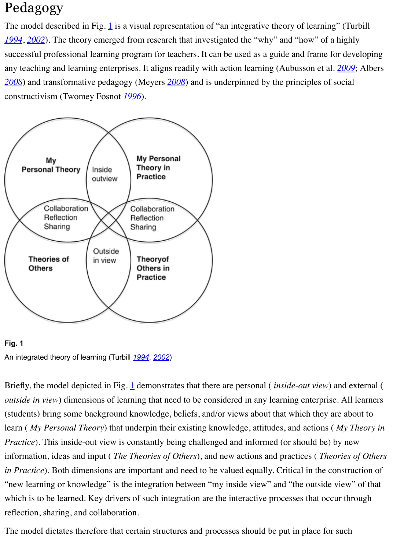### Pedagogy

The model described in Fig.  $\underline{1}$  is a visual representation of "an integrative theory of learning" (Turbill *[1994](file:///Users/jturbill/Downloads/ManuscriptFiles-2/manuscript.html#CR10)*, *[2002](file:///Users/jturbill/Downloads/ManuscriptFiles-2/manuscript.html#CR12)*). The theory emerged from research that investigated the "why" and "how" of a highly successful professional learning program for teachers. It can be used as a guide and frame for developing any teaching and learning enterprises. It aligns readily with action learning (Aubusson et al. *[2009](file:///Users/jturbill/Downloads/ManuscriptFiles-2/manuscript.html#CR1)*; Albers *[2008](file:///Users/jturbill/Downloads/ManuscriptFiles-2/manuscript.html#CR14)*) and transformative pedagogy (Meyers *[2008](file:///Users/jturbill/Downloads/ManuscriptFiles-2/manuscript.html#CR7)*) and is underpinned by the principles of social constructivism (Twomey Fosnot *[1996](file:///Users/jturbill/Downloads/ManuscriptFiles-2/manuscript.html#CR13)*).



#### **Fig. 1** An integrated theory of learning (Turbill *[1994](file:///Users/jturbill/Downloads/ManuscriptFiles-2/manuscript.html#CR10)*, *[2002](file:///Users/jturbill/Downloads/ManuscriptFiles-2/manuscript.html#CR12)*)

Briefly, the model depicted in Fig. [1](file:///Users/jturbill/Downloads/ManuscriptFiles-2/manuscript.html#Fig1) demonstrates that there are personal (*inside-out view*) and external ( *outside in view*) dimensions of learning that need to be considered in any learning enterprise. All learners (students) bring some background knowledge, beliefs, and/or views about that which they are about to learn ( *My Personal Theory*) that underpin their existing knowledge, attitudes, and actions ( *My Theory in Practice*). This inside-out view is constantly being challenged and informed (or should be) by new information, ideas and input ( *The Theories of Others*), and new actions and practices ( *Theories of Others in Practice*). Both dimensions are important and need to be valued equally. Critical in the construction of "new learning or knowledge" is the integration between "my inside view" and "the outside view" of that which is to be learned. Key drivers of such integration are the interactive processes that occur through reflection, sharing, and collaboration.

The model dictates therefore that certain structures and processes should be put in place for such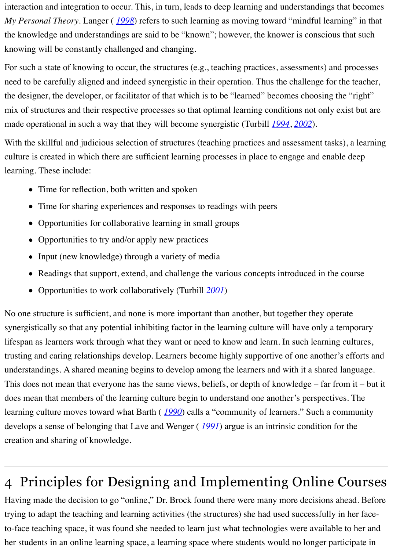interaction and integration to occur. This, in turn, leads to deep learning and understandings that becomes *My Personal Theory*. Langer ( *[1998](file:///Users/jturbill/Downloads/ManuscriptFiles-2/manuscript.html#CR5)*) refers to such learning as moving toward "mindful learning" in that the knowledge and understandings are said to be "known"; however, the knower is conscious that such knowing will be constantly challenged and changing.

For such a state of knowing to occur, the structures (e.g., teaching practices, assessments) and processes need to be carefully aligned and indeed synergistic in their operation. Thus the challenge for the teacher, the designer, the developer, or facilitator of that which is to be "learned" becomes choosing the "right" mix of structures and their respective processes so that optimal learning conditions not only exist but are made operational in such a way that they will become synergistic (Turbill *[1994](file:///Users/jturbill/Downloads/ManuscriptFiles-2/manuscript.html#CR10)*, *[2002](file:///Users/jturbill/Downloads/ManuscriptFiles-2/manuscript.html#CR12)*).

With the skillful and judicious selection of structures (teaching practices and assessment tasks), a learning culture is created in which there are sufficient learning processes in place to engage and enable deep learning. These include:

- Time for reflection, both written and spoken
- Time for sharing experiences and responses to readings with peers  $\bullet$
- Opportunities for collaborative learning in small groups
- Opportunities to try and/or apply new practices
- Input (new knowledge) through a variety of media  $\bullet$
- Readings that support, extend, and challenge the various concepts introduced in the course  $\bullet$
- Opportunities to work collaboratively (Turbill *[2001](file:///Users/jturbill/Downloads/ManuscriptFiles-2/manuscript.html#CR11)*)

No one structure is sufficient, and none is more important than another, but together they operate synergistically so that any potential inhibiting factor in the learning culture will have only a temporary lifespan as learners work through what they want or need to know and learn. In such learning cultures, trusting and caring relationships develop. Learners become highly supportive of one another's efforts and understandings. A shared meaning begins to develop among the learners and with it a shared language. This does not mean that everyone has the same views, beliefs, or depth of knowledge – far from it – but it does mean that members of the learning culture begin to understand one another's perspectives. The learning culture moves toward what Barth ( *[1990](file:///Users/jturbill/Downloads/ManuscriptFiles-2/manuscript.html#CR2)*) calls a "community of learners." Such a community develops a sense of belonging that Lave and Wenger ( *[1991](file:///Users/jturbill/Downloads/ManuscriptFiles-2/manuscript.html#CR6)*) argue is an intrinsic condition for the creation and sharing of knowledge.

### 4 Principles for Designing and Implementing Online Courses

Having made the decision to go "online," Dr. Brock found there were many more decisions ahead. Before trying to adapt the teaching and learning activities (the structures) she had used successfully in her faceto-face teaching space, it was found she needed to learn just what technologies were available to her and her students in an online learning space, a learning space where students would no longer participate in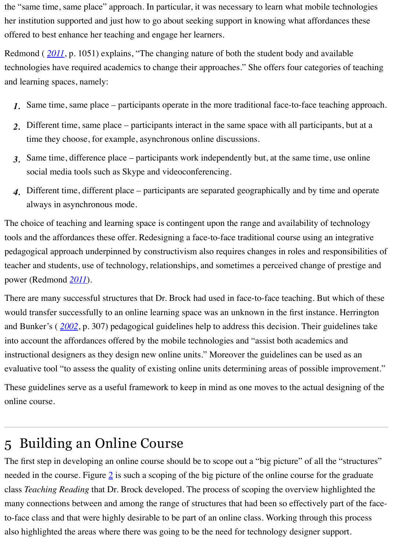the "same time, same place" approach. In particular, it was necessary to learn what mobile technologies her institution supported and just how to go about seeking support in knowing what affordances these offered to best enhance her teaching and engage her learners.

Redmond ( *[2011](file:///Users/jturbill/Downloads/ManuscriptFiles-2/manuscript.html#CR9)*, p. 1051) explains, "The changing nature of both the student body and available technologies have required academics to change their approaches." She offers four categories of teaching and learning spaces, namely:

- *1.* Same time, same place – participants operate in the more traditional face-to-face teaching approach.
- *2.* Different time, same place – participants interact in the same space with all participants, but at a time they choose, for example, asynchronous online discussions.
- *3.* Same time, difference place participants work independently but, at the same time, use online social media tools such as Skype and videoconferencing.
- *4.* Different time, different place participants are separated geographically and by time and operate always in asynchronous mode.

The choice of teaching and learning space is contingent upon the range and availability of technology tools and the affordances these offer. Redesigning a face-to-face traditional course using an integrative pedagogical approach underpinned by constructivism also requires changes in roles and responsibilities of teacher and students, use of technology, relationships, and sometimes a perceived change of prestige and power (Redmond *[2011](file:///Users/jturbill/Downloads/ManuscriptFiles-2/manuscript.html#CR9)*).

There are many successful structures that Dr. Brock had used in face-to-face teaching. But which of these would transfer successfully to an online learning space was an unknown in the first instance. Herrington and Bunker's ( *[2002](file:///Users/jturbill/Downloads/ManuscriptFiles-2/manuscript.html#CR4)*, p. 307) pedagogical guidelines help to address this decision. Their guidelines take into account the affordances offered by the mobile technologies and "assist both academics and instructional designers as they design new online units." Moreover the guidelines can be used as an evaluative tool "to assess the quality of existing online units determining areas of possible improvement."

These guidelines serve as a useful framework to keep in mind as one moves to the actual designing of the online course.

### 5 Building an Online Course

The first step in developing an online course should be to scope out a "big picture" of all the "structures" needed in the course. Figure  $2$  is such a scoping of the big picture of the online course for the graduate class *Teaching Reading* that Dr. Brock developed. The process of scoping the overview highlighted the many connections between and among the range of structures that had been so effectively part of the faceto-face class and that were highly desirable to be part of an online class. Working through this process also highlighted the areas where there was going to be the need for technology designer support.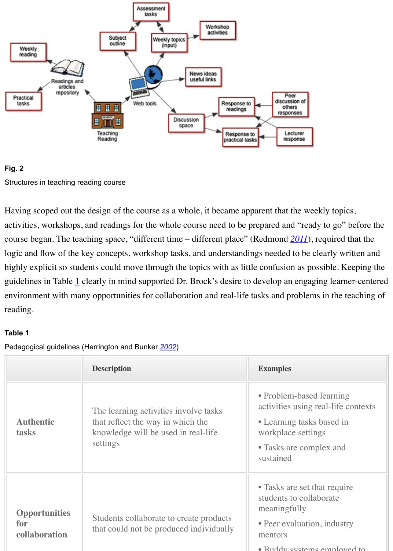



Having scoped out the design of the course as a whole, it became apparent that the weekly topics, activities, workshops, and readings for the whole course need to be prepared and "ready to go" before the course began. The teaching space, "different time – different place" (Redmond *[2011](file:///Users/jturbill/Downloads/ManuscriptFiles-2/manuscript.html#CR9)*), required that the logic and flow of the key concepts, workshop tasks, and understandings needed to be clearly written and highly explicit so students could move through the topics with as little confusion as possible. Keeping the guidelines in Table [1](file:///Users/jturbill/Downloads/ManuscriptFiles-2/manuscript.html#Tab1) clearly in mind supported Dr. Brock's desire to develop an engaging learner-centered environment with many opportunities for collaboration and real-life tasks and problems in the teaching of reading.

| Table 1<br>Pedagogical guidelines (Herrington and Bunker 2002) |                                                                                                                               |                                                                                                                                                            |  |
|----------------------------------------------------------------|-------------------------------------------------------------------------------------------------------------------------------|------------------------------------------------------------------------------------------------------------------------------------------------------------|--|
|                                                                | <b>Description</b>                                                                                                            | <b>Examples</b>                                                                                                                                            |  |
| <b>Authentic</b><br>tasks                                      | The learning activities involve tasks<br>that reflect the way in which the<br>knowledge will be used in real-life<br>settings | • Problem-based learning<br>activities using real-life contexts<br>• Learning tasks based in<br>workplace settings<br>• Tasks are complex and<br>sustained |  |
| <b>Opportunities</b><br>for<br>collaboration                   | Students collaborate to create products<br>that could not be produced individually                                            | • Tasks are set that require<br>students to collaborate<br>meaningfully<br>• Peer evaluation, industry<br>mentors<br>$\bullet$ Ruddy systems employed to   |  |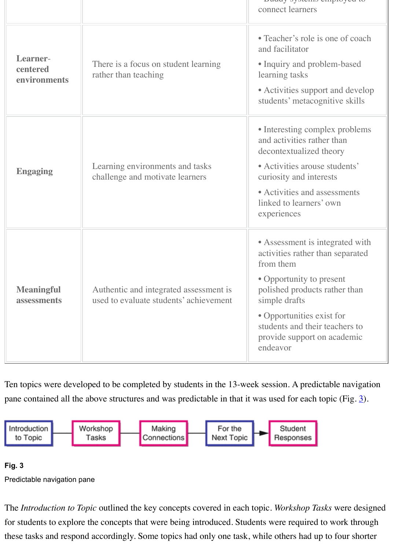|                                      |                                                                                  | Daaay systems employed to<br>connect learners                                                                                                                                                                                                                            |
|--------------------------------------|----------------------------------------------------------------------------------|--------------------------------------------------------------------------------------------------------------------------------------------------------------------------------------------------------------------------------------------------------------------------|
| Learner-<br>centered<br>environments | There is a focus on student learning<br>rather than teaching                     | • Teacher's role is one of coach<br>and facilitator<br>• Inquiry and problem-based<br>learning tasks<br>• Activities support and develop<br>students' metacognitive skills                                                                                               |
| <b>Engaging</b>                      | Learning environments and tasks<br>challenge and motivate learners               | • Interesting complex problems<br>and activities rather than<br>decontextualized theory<br>· Activities arouse students'<br>curiosity and interests<br>• Activities and assessments<br>linked to learners' own<br>experiences                                            |
| <b>Meaningful</b><br>assessments     | Authentic and integrated assessment is<br>used to evaluate students' achievement | • Assessment is integrated with<br>activities rather than separated<br>from them<br>• Opportunity to present<br>polished products rather than<br>simple drafts<br>• Opportunities exist for<br>students and their teachers to<br>provide support on academic<br>endeavor |

Ten topics were developed to be completed by students in the 13-week session. A predictable navigation pane contained all the above structures and was predictable in that it was used for each topic (Fig. [3\)](file:///Users/jturbill/Downloads/ManuscriptFiles-2/manuscript.html#Fig3).



#### **Fig. 3**

Predictable navigation pane

The *Introduction to Topic* outlined the key concepts covered in each topic. *Workshop Tasks* were designed for students to explore the concepts that were being introduced. Students were required to work through these tasks and respond accordingly. Some topics had only one task, while others had up to four shorter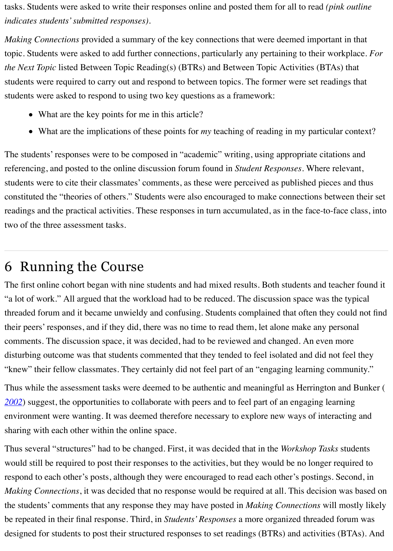tasks. Students were asked to write their responses online and posted them for all to read *(pink outline indicates students' submitted responses)*.

*Making Connections* provided a summary of the key connections that were deemed important in that topic. Students were asked to add further connections, particularly any pertaining to their workplace. *For the Next Topic* listed Between Topic Reading(s) (BTRs) and Between Topic Activities (BTAs) that students were required to carry out and respond to between topics. The former were set readings that students were asked to respond to using two key questions as a framework:

- What are the key points for me in this article?
- What are the implications of these points for *my* teaching of reading in my particular context?

The students' responses were to be composed in "academic" writing, using appropriate citations and referencing, and posted to the online discussion forum found in *Student Responses*. Where relevant, students were to cite their classmates' comments, as these were perceived as published pieces and thus constituted the "theories of others." Students were also encouraged to make connections between their set readings and the practical activities. These responses in turn accumulated, as in the face-to-face class, into two of the three assessment tasks.

## 6 Running the Course

The first online cohort began with nine students and had mixed results. Both students and teacher found it "a lot of work." All argued that the workload had to be reduced. The discussion space was the typical threaded forum and it became unwieldy and confusing. Students complained that often they could not find their peers' responses, and if they did, there was no time to read them, let alone make any personal comments. The discussion space, it was decided, had to be reviewed and changed. An even more disturbing outcome was that students commented that they tended to feel isolated and did not feel they "knew" their fellow classmates. They certainly did not feel part of an "engaging learning community."

Thus while the assessment tasks were deemed to be authentic and meaningful as Herrington and Bunker ( *[2002](file:///Users/jturbill/Downloads/ManuscriptFiles-2/manuscript.html#CR4)*) suggest, the opportunities to collaborate with peers and to feel part of an engaging learning environment were wanting. It was deemed therefore necessary to explore new ways of interacting and sharing with each other within the online space.

Thus several "structures" had to be changed. First, it was decided that in the *Workshop Tasks* students would still be required to post their responses to the activities, but they would be no longer required to respond to each other's posts, although they were encouraged to read each other's postings. Second, in *Making Connections*, it was decided that no response would be required at all. This decision was based on the students' comments that any response they may have posted in *Making Connections* will mostly likely be repeated in their final response. Third, in *Students' Responses* a more organized threaded forum was designed for students to post their structured responses to set readings (BTRs) and activities (BTAs). And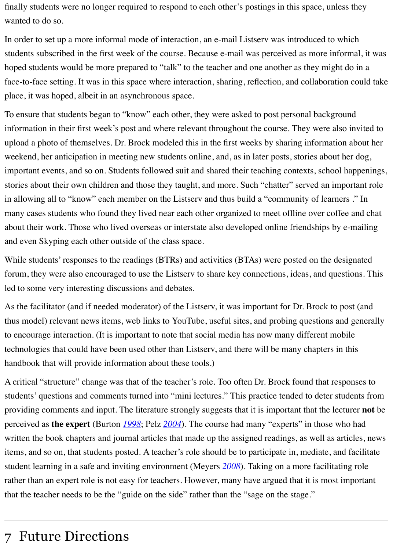finally students were no longer required to respond to each other's postings in this space, unless they wanted to do so.

In order to set up a more informal mode of interaction, an e-mail Listserv was introduced to which students subscribed in the first week of the course. Because e-mail was perceived as more informal, it was hoped students would be more prepared to "talk" to the teacher and one another as they might do in a face-to-face setting. It was in this space where interaction, sharing, reflection, and collaboration could take place, it was hoped, albeit in an asynchronous space.

To ensure that students began to "know" each other, they were asked to post personal background information in their first week's post and where relevant throughout the course. They were also invited to upload a photo of themselves. Dr. Brock modeled this in the first weeks by sharing information about her weekend, her anticipation in meeting new students online, and, as in later posts, stories about her dog, important events, and so on. Students followed suit and shared their teaching contexts, school happenings, stories about their own children and those they taught, and more. Such "chatter" served an important role in allowing all to "know" each member on the Listserv and thus build a "community of learners ." In many cases students who found they lived near each other organized to meet offline over coffee and chat about their work. Those who lived overseas or interstate also developed online friendships by e-mailing and even Skyping each other outside of the class space.

While students' responses to the readings (BTRs) and activities (BTAs) were posted on the designated forum, they were also encouraged to use the Listserv to share key connections, ideas, and questions. This led to some very interesting discussions and debates.

As the facilitator (and if needed moderator) of the Listserv, it was important for Dr. Brock to post (and thus model) relevant news items, web links to YouTube, useful sites, and probing questions and generally to encourage interaction. (It is important to note that social media has now many different mobile technologies that could have been used other than Listserv, and there will be many chapters in this handbook that will provide information about these tools.)

A critical "structure" change was that of the teacher's role. Too often Dr. Brock found that responses to students' questions and comments turned into "mini lectures." This practice tended to deter students from providing comments and input. The literature strongly suggests that it is important that the lecturer **not** be perceived as **the expert** (Burton *[1998](file:///Users/jturbill/Downloads/ManuscriptFiles-2/manuscript.html#CR3)*; Pelz *[2004](file:///Users/jturbill/Downloads/ManuscriptFiles-2/manuscript.html#CR8)*). The course had many "experts" in those who had written the book chapters and journal articles that made up the assigned readings, as well as articles, news items, and so on, that students posted. A teacher's role should be to participate in, mediate, and facilitate student learning in a safe and inviting environment (Meyers *[2008](file:///Users/jturbill/Downloads/ManuscriptFiles-2/manuscript.html#CR7)*). Taking on a more facilitating role rather than an expert role is not easy for teachers. However, many have argued that it is most important that the teacher needs to be the "guide on the side" rather than the "sage on the stage."

### 7 Future Directions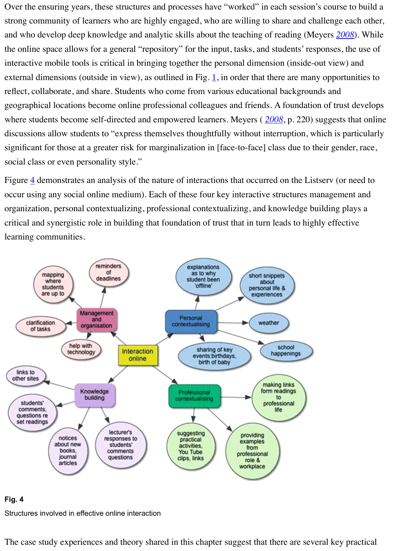Over the ensuring years, these structures and processes have "worked" in each session's course to build a strong community of learners who are highly engaged, who are willing to share and challenge each other, and who develop deep knowledge and analytic skills about the teaching of reading (Meyers *[2008](file:///Users/jturbill/Downloads/ManuscriptFiles-2/manuscript.html#CR7)*). While the online space allows for a general "repository" for the input, tasks, and students' responses, the use of interactive mobile tools is critical in bringing together the personal dimension (inside-out view) and external dimensions (outside in view), as outlined in Fig.  $1$ , in order that there are many opportunities to reflect, collaborate, and share. Students who come from various educational backgrounds and geographical locations become online professional colleagues and friends. A foundation of trust develops where students become self-directed and empowered learners. Meyers ( *[2008](file:///Users/jturbill/Downloads/ManuscriptFiles-2/manuscript.html#CR7)*, p. 220) suggests that online discussions allow students to "express themselves thoughtfully without interruption, which is particularly significant for those at a greater risk for marginalization in [face-to-face] class due to their gender, race, social class or even personality style."

Figure  $\frac{4}{3}$  demonstrates an analysis of the nature of interactions that occurred on the Listserv (or need to occur using any social online medium). Each of these four key interactive structures management and organization, personal contextualizing, professional contextualizing, and knowledge building plays a critical and synergistic role in building that foundation of trust that in turn leads to highly effective learning communities.



#### **Fig. 4**

Structures involved in effective online interaction

The case study experiences and theory shared in this chapter suggest that there are several key practical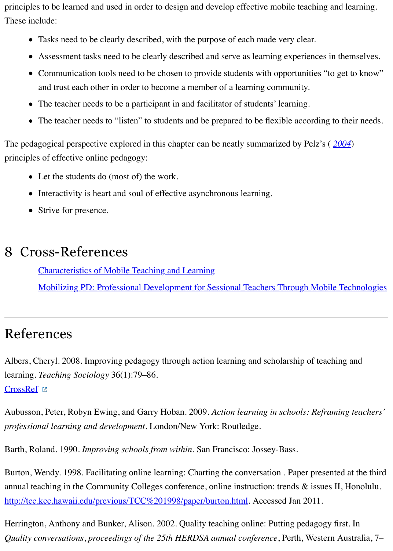principles to be learned and used in order to design and develop effective mobile teaching and learning. These include:

- Tasks need to be clearly described, with the purpose of each made very clear.
- Assessment tasks need to be clearly described and serve as learning experiences in themselves.
- Communication tools need to be chosen to provide students with opportunities "to get to know" and trust each other in order to become a member of a learning community.
- The teacher needs to be a participant in and facilitator of students' learning.
- The teacher needs to "listen" to students and be prepared to be flexible according to their needs.

The pedagogical perspective explored in this chapter can be neatly summarized by Pelz's ( *[2004](file:///Users/jturbill/Downloads/ManuscriptFiles-2/manuscript.html#CR8)*) principles of effective online pedagogy:

- Let the students do (most of) the work.
- Interactivity is heart and soul of effective asynchronous learning.
- Strive for presence.

### 8 Cross-References

[Characteristics of Mobile Teaching and Learning](http://link.springer.com/search?facet-content-type=ReferenceWorkEntry&query=Characteristics%20of%20Mobile%20Teaching%20and%20Learning)

[Mobilizing PD: Professional Development for Sessional Teachers Through Mobile Technologies](http://link.springer.com/search?facet-content-type=ReferenceWorkEntry&query=Mobilizing%20PD%3A%20Professional%20Development%20for%20Sessional%20Teachers%20Through%20Mobile%20Technologies)

## References

Albers, Cheryl. 2008. Improving pedagogy through action learning and scholarship of teaching and learning. *Teaching Sociology* 36(1):79–86. [CrossRef](http://dx.doi.org/10.1177/0092055X0803600110) **E** 

Aubusson, Peter, Robyn Ewing, and Garry Hoban. 2009. *Action learning in schools: Reframing teachers' professional learning and development*. London/New York: Routledge.

Barth, Roland. 1990. *Improving schools from within*. San Francisco: Jossey-Bass.

Burton, Wendy. 1998. Facilitating online learning: Charting the conversation *.* Paper presented at the third annual teaching in the Community Colleges conference, online instruction: trends & issues II, Honolulu. [http://tcc.kcc.hawaii.edu/previous/TCC%201998/paper/burton.html.](http://tcc.kcc.hawaii.edu/previous/TCC%201998/paper/burton.html) Accessed Jan 2011.

Herrington, Anthony and Bunker, Alison. 2002. Quality teaching online: Putting pedagogy first. In *Quality conversations*, *proceedings of the 25th HERDSA annual conference*, Perth, Western Australia, 7–